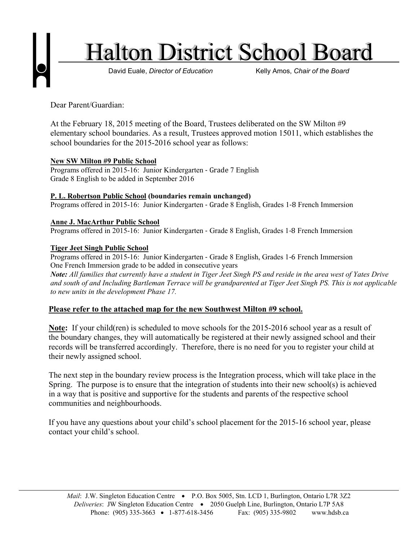

Dear Parent/Guardian:

At the February 18, 2015 meeting of the Board, Trustees deliberated on the SW Milton #9 elementary school boundaries. As a result, Trustees approved motion 15011, which establishes the school boundaries for the 2015-2016 school year as follows:

# **New SW Milton #9 Public School**

Programs offered in 2015-16: Junior Kindergarten ‐ Grade 7 English Grade 8 English to be added in September 2016

## **P. L. Robertson Public School (boundaries remain unchanged)**

Programs offered in 2015-16: Junior Kindergarten ‐ Grade 8 English, Grades 1‐8 French Immersion

## **Anne J. MacArthur Public School**

Programs offered in 2015-16: Junior Kindergarten ‐ Grade 8 English, Grades 1‐8 French Immersion

## **Tiger Jeet Singh Public School**

Programs offered in 2015-16: Junior Kindergarten ‐ Grade 8 English, Grades 1‐6 French Immersion One French Immersion grade to be added in consecutive years *Note: All families that currently have a student in Tiger Jeet Singh PS and reside in the area west of Yates Drive and south of and Including Bartleman Terrace will be grandparented at Tiger Jeet Singh PS. This is not applicable to new units in the development Phase 17.*

# **Please refer to the attached map for the new Southwest Milton #9 school.**

**Note:** If your child(ren) is scheduled to move schools for the 2015-2016 school year as a result of the boundary changes, they will automatically be registered at their newly assigned school and their records will be transferred accordingly. Therefore, there is no need for you to register your child at their newly assigned school.

The next step in the boundary review process is the Integration process, which will take place in the Spring. The purpose is to ensure that the integration of students into their new school(s) is achieved in a way that is positive and supportive for the students and parents of the respective school communities and neighbourhoods.

If you have any questions about your child's school placement for the 2015-16 school year, please contact your child's school.